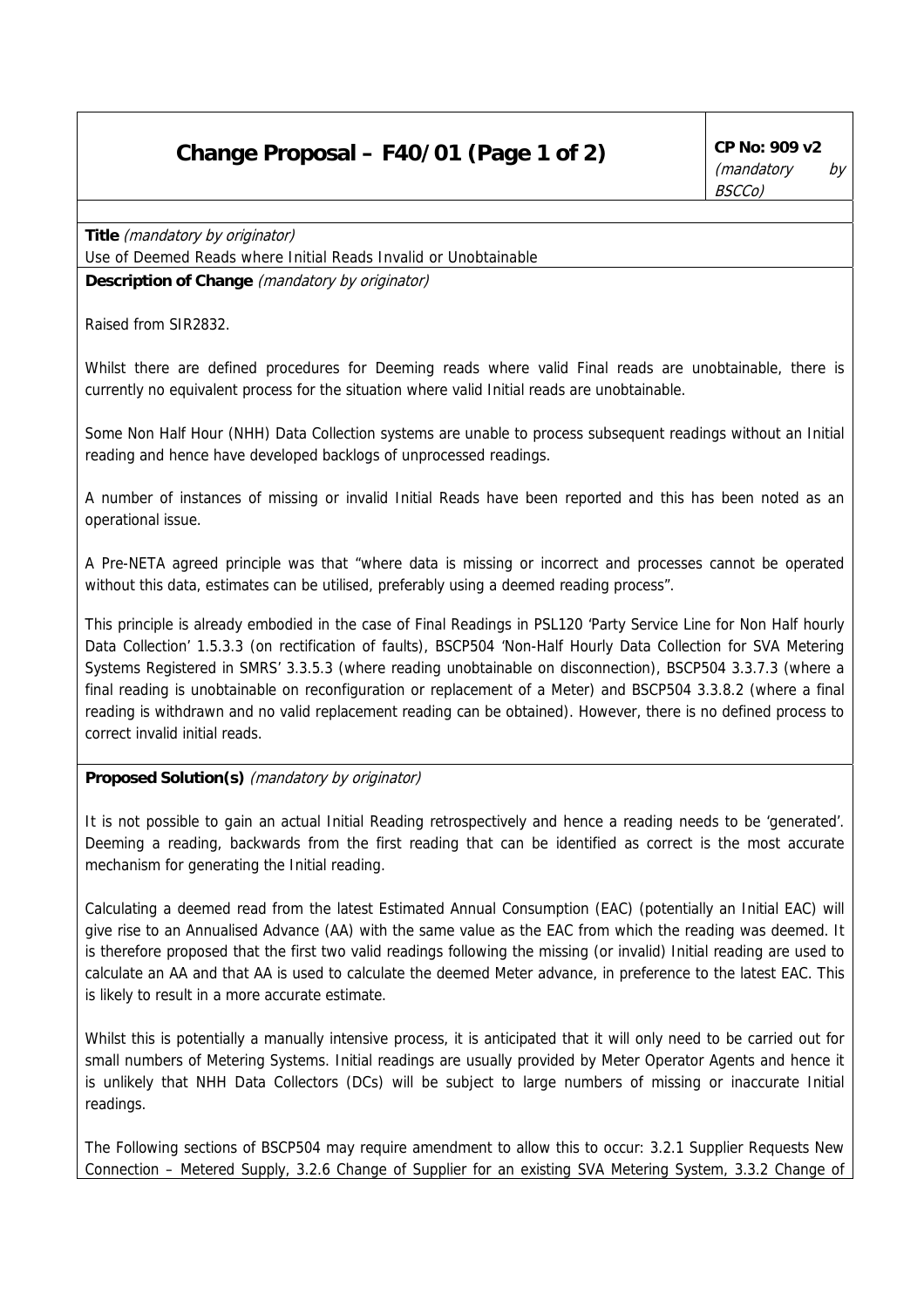## **Change Proposal – F40/01 (Page 1 of 2)** CP No: 909 v2

**Title** (mandatory by originator) Use of Deemed Reads where Initial Reads Invalid or Unobtainable **Description of Change** (mandatory by originator)

Raised from SIR2832.

Whilst there are defined procedures for Deeming reads where valid Final reads are unobtainable, there is currently no equivalent process for the situation where valid Initial reads are unobtainable.

Some Non Half Hour (NHH) Data Collection systems are unable to process subsequent readings without an Initial reading and hence have developed backlogs of unprocessed readings.

A number of instances of missing or invalid Initial Reads have been reported and this has been noted as an operational issue.

A Pre-NETA agreed principle was that "where data is missing or incorrect and processes cannot be operated without this data, estimates can be utilised, preferably using a deemed reading process".

This principle is already embodied in the case of Final Readings in PSL120 'Party Service Line for Non Half hourly Data Collection' 1.5.3.3 (on rectification of faults), BSCP504 'Non-Half Hourly Data Collection for SVA Metering Systems Registered in SMRS' 3.3.5.3 (where reading unobtainable on disconnection), BSCP504 3.3.7.3 (where a final reading is unobtainable on reconfiguration or replacement of a Meter) and BSCP504 3.3.8.2 (where a final reading is withdrawn and no valid replacement reading can be obtained). However, there is no defined process to correct invalid initial reads.

## **Proposed Solution(s)** (mandatory by originator)

It is not possible to gain an actual Initial Reading retrospectively and hence a reading needs to be 'generated'. Deeming a reading, backwards from the first reading that can be identified as correct is the most accurate mechanism for generating the Initial reading.

Calculating a deemed read from the latest Estimated Annual Consumption (EAC) (potentially an Initial EAC) will give rise to an Annualised Advance (AA) with the same value as the EAC from which the reading was deemed. It is therefore proposed that the first two valid readings following the missing (or invalid) Initial reading are used to calculate an AA and that AA is used to calculate the deemed Meter advance, in preference to the latest EAC. This is likely to result in a more accurate estimate.

Whilst this is potentially a manually intensive process, it is anticipated that it will only need to be carried out for small numbers of Metering Systems. Initial readings are usually provided by Meter Operator Agents and hence it is unlikely that NHH Data Collectors (DCs) will be subject to large numbers of missing or inaccurate Initial readings.

The Following sections of BSCP504 may require amendment to allow this to occur: 3.2.1 Supplier Requests New Connection – Metered Supply, 3.2.6 Change of Supplier for an existing SVA Metering System, 3.3.2 Change of